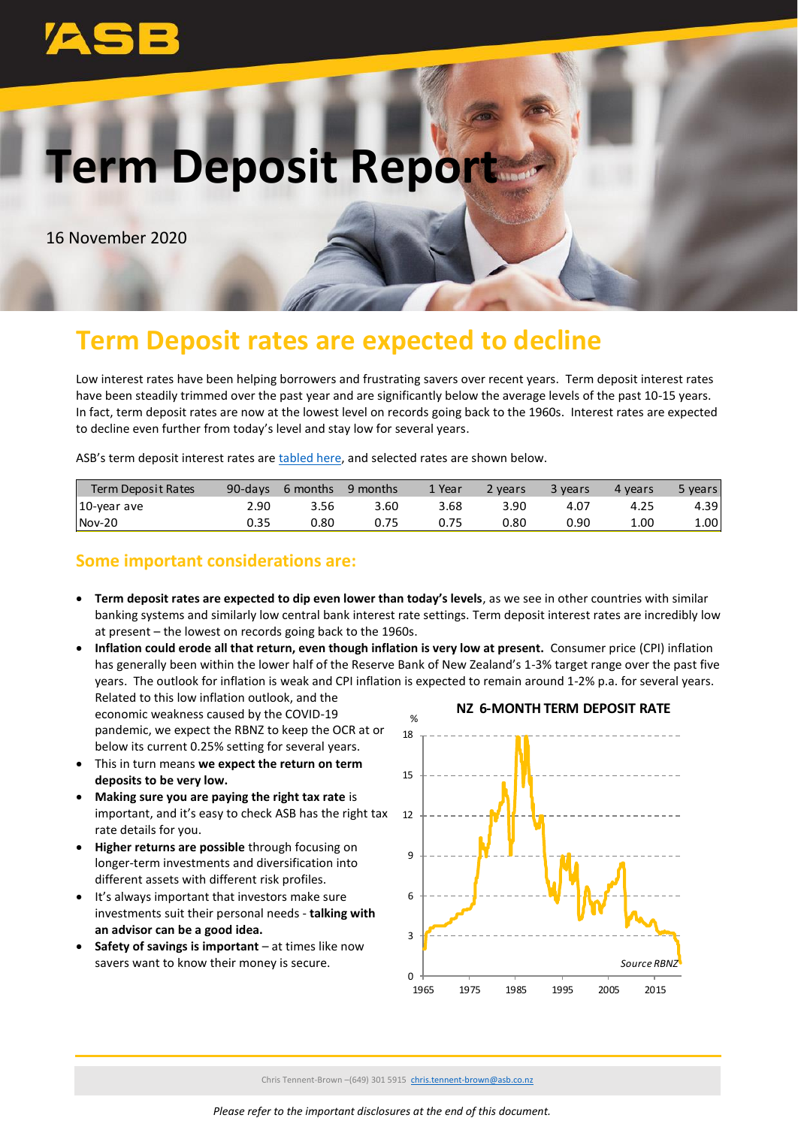

# **Term Deposit Report**

16 November 2020

## **Term Deposit rates are expected to decline**

Low interest rates have been helping borrowers and frustrating savers over recent years. Term deposit interest rates have been steadily trimmed over the past year and are significantly below the average levels of the past 10-15 years. In fact, term deposit rates are now at the lowest level on records going back to the 1960s. Interest rates are expected to decline even further from today's level and stay low for several years.

ASB's term deposit interest rates are [tabled here,](https://www.asb.co.nz/term-investments/term-investment-rates.html) and selected rates are shown below.

| Term Deposit Rates | 90-days | 6 months | 9 months | 1 Year | <b>P</b> years | 3 years | 4 years | 5 years |
|--------------------|---------|----------|----------|--------|----------------|---------|---------|---------|
| 10-year ave        | 2.90    | 3.56     | 3.60     | 3.68   | 3.90           | 4.07    | 4.25    | 4.39    |
| $Nov-20$           | 0.35    | 0.80     | 0.75     |        | 0.80           | 0.90    | 1.00    | 1.00    |

#### **Some important considerations are:**

- **Term deposit rates are expected to dip even lower than today's levels**, as we see in other countries with similar banking systems and similarly low central bank interest rate settings. Term deposit interest rates are incredibly low at present – the lowest on records going back to the 1960s.
- **NZ 6-MONTH TERM DEPOSIT RATE** % • **Inflation could erode all that return, even though inflation is very low at present.** Consumer price (CPI) inflation has generally been within the lower half of the Reserve Bank of New Zealand's 1-3% target range over the past five years. The outlook for inflation is weak and CPI inflation is expected to remain around 1-2% p.a. for several years. Related to this low inflation outlook, and the economic weakness caused by the COVID-19

pandemic, we expect the RBNZ to keep the OCR at or below its current 0.25% setting for several years.

- This in turn means **we expect the return on term deposits to be very low.**
- **Making sure you are paying the right tax rate** is important, and it's easy to check ASB has the right tax rate details for you.
- **Higher returns are possible** through focusing on longer-term investments and diversification into different assets with different risk profiles.
- It's always important that investors make sure investments suit their personal needs - **talking with an advisor can be a good idea.**
- **Safety of savings is important** at times like now savers want to know their money is secure.

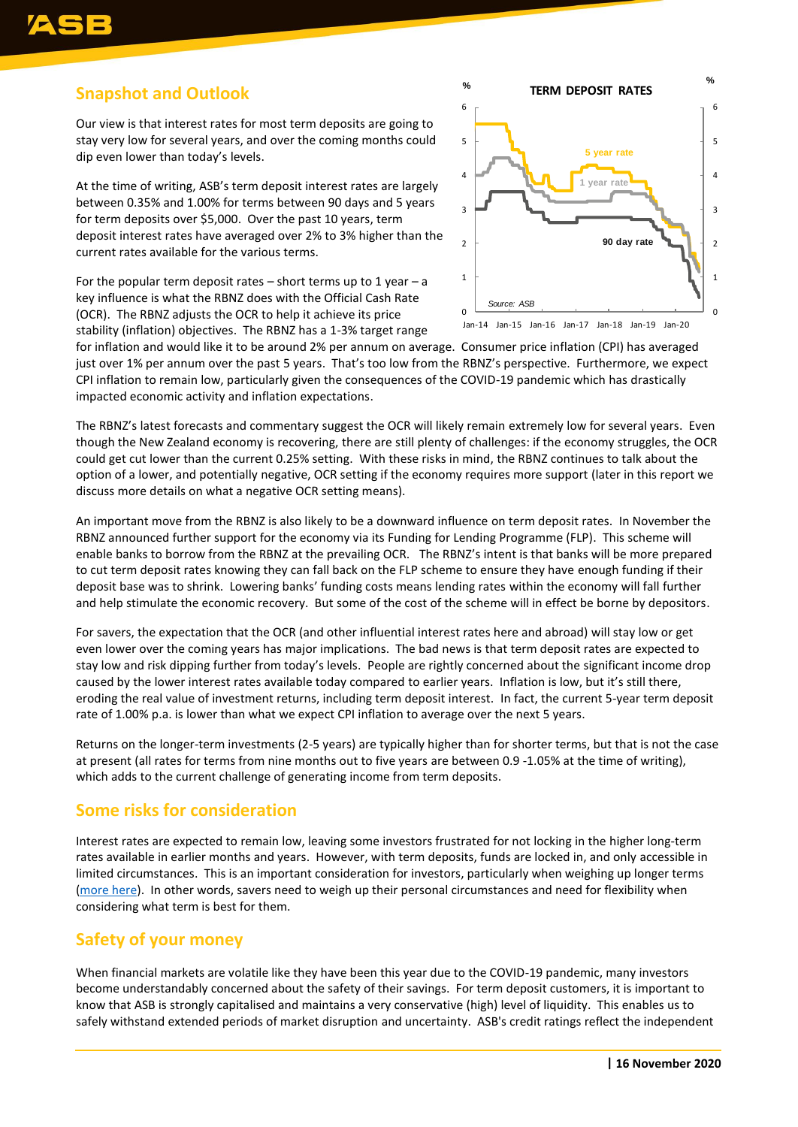### **Snapshot and Outlook**

Our view is that interest rates for most term deposits are going to stay very low for several years, and over the coming months could dip even lower than today's levels.

At the time of writing, ASB's term deposit interest rates are largely between 0.35% and 1.00% for terms between 90 days and 5 years for term deposits over \$5,000. Over the past 10 years, term deposit interest rates have averaged over 2% to 3% higher than the current rates available for the various terms.

For the popular term deposit rates – short terms up to 1 year – a key influence is what the RBNZ does with the Official Cash Rate (OCR). The RBNZ adjusts the OCR to help it achieve its price stability (inflation) objectives. The RBNZ has a 1-3% target range



for inflation and would like it to be around 2% per annum on average. Consumer price inflation (CPI) has averaged just over 1% per annum over the past 5 years. That's too low from the RBNZ's perspective. Furthermore, we expect CPI inflation to remain low, particularly given the consequences of the COVID-19 pandemic which has drastically impacted economic activity and inflation expectations.

The RBNZ's latest forecasts and commentary suggest the OCR will likely remain extremely low for several years. Even though the New Zealand economy is recovering, there are still plenty of challenges: if the economy struggles, the OCR could get cut lower than the current 0.25% setting. With these risks in mind, the RBNZ continues to talk about the option of a lower, and potentially negative, OCR setting if the economy requires more support (later in this report we discuss more details on what a negative OCR setting means).

An important move from the RBNZ is also likely to be a downward influence on term deposit rates. In November the RBNZ announced further support for the economy via its Funding for Lending Programme (FLP). This scheme will enable banks to borrow from the RBNZ at the prevailing OCR. The RBNZ's intent is that banks will be more prepared to cut term deposit rates knowing they can fall back on the FLP scheme to ensure they have enough funding if their deposit base was to shrink. Lowering banks' funding costs means lending rates within the economy will fall further and help stimulate the economic recovery. But some of the cost of the scheme will in effect be borne by depositors.

For savers, the expectation that the OCR (and other influential interest rates here and abroad) will stay low or get even lower over the coming years has major implications. The bad news is that term deposit rates are expected to stay low and risk dipping further from today's levels. People are rightly concerned about the significant income drop caused by the lower interest rates available today compared to earlier years. Inflation is low, but it's still there, eroding the real value of investment returns, including term deposit interest. In fact, the current 5-year term deposit rate of 1.00% p.a. is lower than what we expect CPI inflation to average over the next 5 years.

Returns on the longer-term investments (2-5 years) are typically higher than for shorter terms, but that is not the case at present (all rates for terms from nine months out to five years are between 0.9 -1.05% at the time of writing), which adds to the current challenge of generating income from term deposits.

### **Some risks for consideration**

Interest rates are expected to remain low, leaving some investors frustrated for not locking in the higher long-term rates available in earlier months and years. However, with term deposits, funds are locked in, and only accessible in limited circumstances. This is an important consideration for investors, particularly when weighing up longer terms [\(more here\)](https://www.asb.co.nz/documents/term-investments/term-deposit-early-withdrawal-information.html). In other words, savers need to weigh up their personal circumstances and need for flexibility when considering what term is best for them.

### **Safety of your money**

When financial markets are volatile like they have been this year due to the COVID-19 pandemic, many investors become understandably concerned about the safety of their savings. For term deposit customers, it is important to know that ASB is strongly capitalised and maintains a very conservative (high) level of liquidity. This enables us to safely withstand extended periods of market disruption and uncertainty. ASB's credit ratings reflect the independent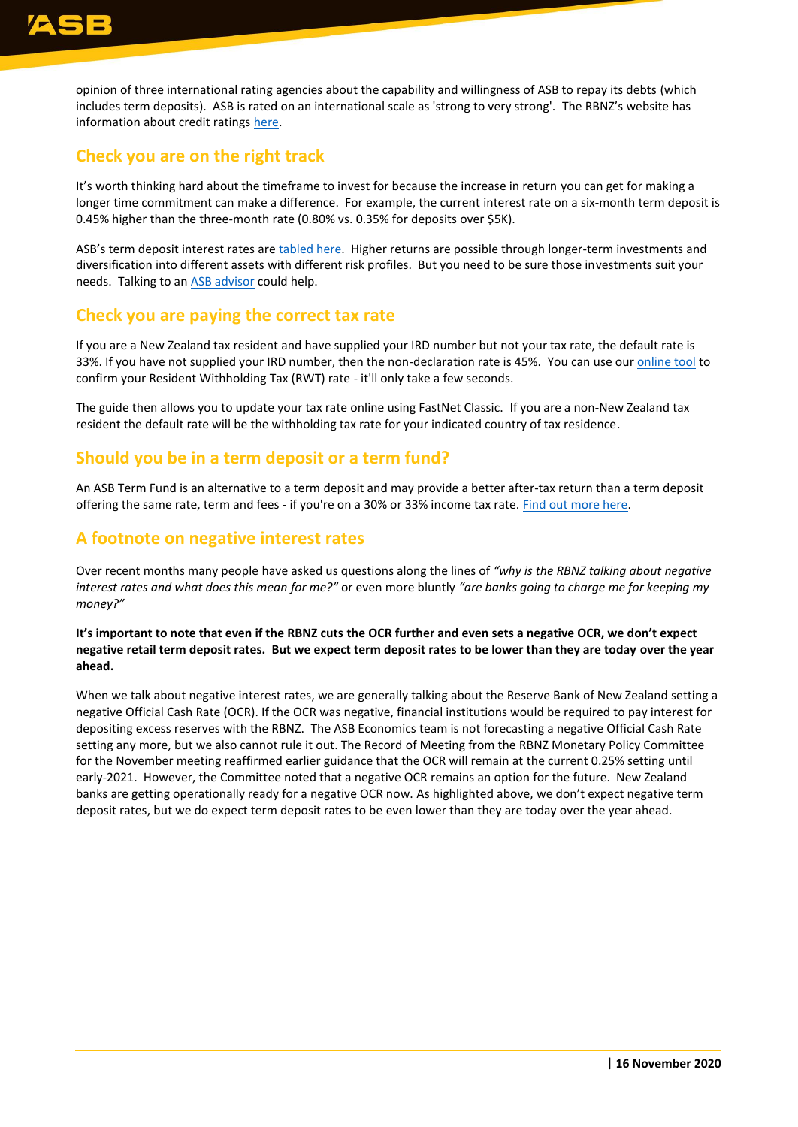opinion of three international rating agencies about the capability and willingness of ASB to repay its debts (which includes term deposits). ASB is rated on an international scale as 'strong to very strong'. The RBNZ's website has information about credit ratings [here.](https://www.rbnz.govt.nz/regulation-and-supervision/banks/prudential-requirements/credit-ratings)

### **Check you are on the right track**

It's worth thinking hard about the timeframe to invest for because the increase in return you can get for making a longer time commitment can make a difference. For example, the current interest rate on a six-month term deposit is 0.45% higher than the three-month rate (0.80% vs. 0.35% for deposits over \$5K).

ASB's term deposit interest rates are [tabled here.](https://www.asb.co.nz/term-investments/term-investment-rates.html) Higher returns are possible through longer-term investments and diversification into different assets with different risk profiles. But you need to be sure those investments suit your needs. Talking to an [ASB advisor](https://www.asb.co.nz/banking-with-asb/wealth-advisory-service.html) could help.

#### **Check you are paying the correct tax rate**

If you are a New Zealand tax resident and have supplied your IRD number but not your tax rate, the default rate is 33%. If you have not supplied your IRD number, then the non-declaration rate is 45%. You can use our *online tool* to confirm your Resident Withholding Tax (RWT) rate - it'll only take a few seconds.

The guide then allows you to update your tax rate online using FastNet Classic. If you are a non-New Zealand tax resident the default rate will be the withholding tax rate for your indicated country of tax residence.

### **Should you be in a term deposit or a term fund?**

An ASB Term Fund is an alternative to a term deposit and may provide a better after-tax return than a term deposit offering the same rate, term and fees - if you're on a 30% or 33% income tax rate. [Find out more here.](https://www.asb.co.nz/term-investments/asb-term-fund.html)

#### **A footnote on negative interest rates**

Over recent months many people have asked us questions along the lines of *"why is the RBNZ talking about negative interest rates and what does this mean for me?"* or even more bluntly *"are banks going to charge me for keeping my money?"*

**It's important to note that even if the RBNZ cuts the OCR further and even sets a negative OCR, we don't expect negative retail term deposit rates. But we expect term deposit rates to be lower than they are today over the year ahead.**

When we talk about negative interest rates, we are generally talking about the Reserve Bank of New Zealand setting a negative Official Cash Rate (OCR). If the OCR was negative, financial institutions would be required to pay interest for depositing excess reserves with the RBNZ. The ASB Economics team is not forecasting a negative Official Cash Rate setting any more, but we also cannot rule it out. The Record of Meeting from the RBNZ Monetary Policy Committee for the November meeting reaffirmed earlier guidance that the OCR will remain at the current 0.25% setting until early-2021. However, the Committee noted that a negative OCR remains an option for the future. New Zealand banks are getting operationally ready for a negative OCR now. As highlighted above, we don't expect negative term deposit rates, but we do expect term deposit rates to be even lower than they are today over the year ahead.